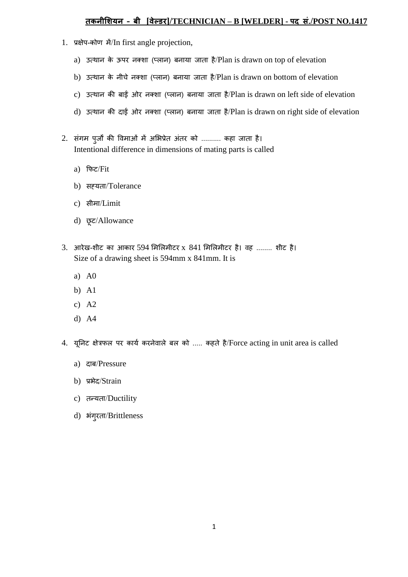## **तकनीशियन – बी [वेल्डर]/TECHNICIAN – B [WELDER] - पद सं./POST NO.1417**

- 1. प्रक्षेप-कोण में/In first angle projection,
	- a) उत्थान के ऊपर नक्शा (प्लान) बनाया जाता है/Plan is drawn on top of elevation
	- b) उत्थान के नीचे नक्शा (प्लान) बनाया जाता है/Plan is drawn on bottom of elevation
	- c) उत्थान की बाईं ओर नक्शा (प्लान) बनाया जाता है/Plan is drawn on left side of elevation
	- d) उत्थान की दाईं ओर नक्शा (प्लान) बनाया जाता है/Plan is drawn on right side of elevation
- 2. संगम पुजों की विमाओं में अभिप्रेत अंतर को .......... कहा जाता है। Intentional difference in dimensions of mating parts is called
	- a) फिट/Fit
	- b) सह्यता/Tolerance
	- c) सीमा/Limit
	- d) छूट/Allowance
- 3. आरेख-शीट का आकार 594 मिलिमीटर x 841 मिलिमीटर है। वह ........ शीट है। Size of a drawing sheet is 594mm x 841mm. It is
	- a) A0
	- b) A1
	- c) A2
	- d) A4
- 4. यूनिट क्षेत्रफल पर कार्य करनेवाले बल को ..... कहते है/Force acting in unit area is called
	- a) दाब/Pressure
	- b) प्रभेद/Strain
	- c) तन्यता/Ductility
	- d) भंगूरता/Brittleness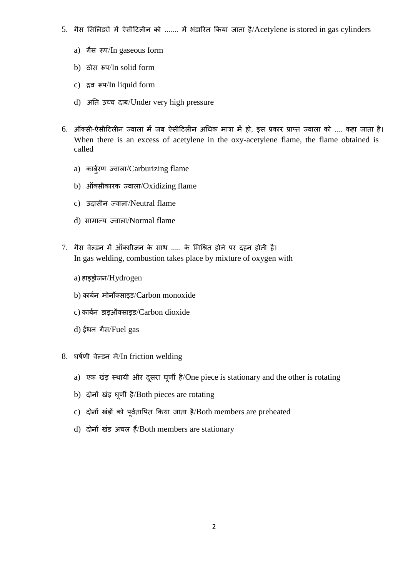- 5. गैस सिलिंडरों में ऐसीटिलीन को ....... में भंडारित किया जाता है/Acetylene is stored in gas cylinders
	- a) गैस रूप/In gaseous form
	- b) ठोस रूप/In solid form
	- c) द्रव रूप/In liquid form
	- d) अनत उच्च दाब/Under very high pressure
- 6. ऑक्सी-ऐसीटिलीन ज्वाला में जब ऐसीटिलीन अधिक मात्रा में हो, इस प्रकार प्राप्त ज्वाला को .... कहा जाता है। When there is an excess of acetylene in the oxy-acetylene flame, the flame obtained is called
	- a) कार्बरण ज्वाला/Carburizing flame
	- b) ऑक्सीकारक ज्वाला/Oxidizing flame
	- c) उदासीन ज्वाला/Neutral flame
	- d) सामान्य ज्वाला/Normal flame
- 7. गैस िेल्डन में ऑक्सीजन के साथ ..... के भमधित होने पर दहन होती है। In gas welding, combustion takes place by mixture of oxygen with
	- a) हाइड्रोजन/Hydrogen
	- b) कार्बन मोनॉक्साइड/Carbon monoxide
	- c) कार्बन डाइऑक्साइड/Carbon dioxide
	- d) ईंिन गैस/Fuel gas
- 8. घर्षणी वेल्डन में/In friction welding
	- a) एक खंड़ स्थायी और दूसरा घूर्णी है/One piece is stationary and the other is rotating
	- b) दोनों खंड़ घूणी है/Both pieces are rotating
	- c) दोनों खंड़ों को पूर्वतापित किया जाता है/Both members are preheated
	- d) दोनों खंड अचल हैं/Both members are stationary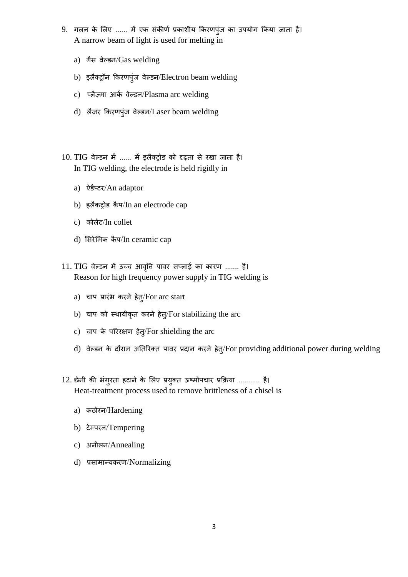- 9. गलन के लिए ...... में एक संकीर्ण प्रकाशीय किरणपुंज का उपयोग किया जाता है। A narrow beam of light is used for melting in
	- a) गैस वेल्डन/Gas welding
	- b) इलैक्ट्रॉन किरणपुंज वेल्डन/Electron beam welding
	- c) प्लैज़मा आर्क वेल्डन/Plasma arc welding
	- d) लैज़र किरणपुंज वेल्डन/Laser beam welding
- 10. TIG िेल्डन में ...... में इलैक्रोड को दृढ़ता से रखा जाता है। In TIG welding, the electrode is held rigidly in
	- a) ऐडैप्टर/An adaptor
	- b) इलैकट्रोड कैप/In an electrode cap
	- c) कोलेट/In collet
	- d) सिरेमिक कैप/In ceramic cap
- 11. TIG वेल्डन में उच्च आवृति पावर सप्लाई का कारण ....... है। Reason for high frequency power supply in TIG welding is
	- a) चाप प्रारंभ करने हेत्/For arc start
	- b) चाप को स्थायीकृत करने हेतु/For stabilizing the arc
	- c) चाप के परररक्षण हेतु/For shielding the arc
	- d) वेल्डन के दौरान अतिरिक्त पावर प्रदान करने हेत्/For providing additional power during welding
- 12. छेनी की िंगुरता हटाने के भलए प्रयुक्त ऊष्मोपचार प्रफिया ........... है। Heat-treatment process used to remove brittleness of a chisel is
	- a) कठोरन/Hardening
	- b) टेम्परन/Tempering
	- c) अनीलन/Annealing
	- d) प्रसामान्यकरण/Normalizing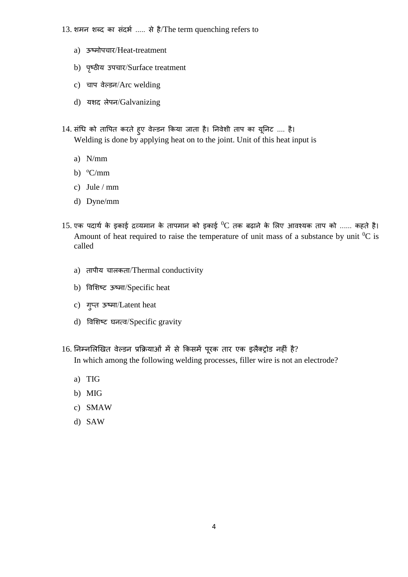- 13. शमन शब्द का संदर्भ ..... से है/The term quenching refers to
	- a) ऊष्मोपचार/Heat-treatment
	- b) पष्ृठीय उपचार/Surface treatment
	- c) चाप वेल्डन/Arc welding
	- d) यशद लेपन/Galvanizing
- 14. संधि को तापित करते हुए वेल्डन किया जाता है। निवेशी ताप का यूनिट .... है। Welding is done by applying heat on to the joint. Unit of this heat input is
	- a) N/mm
	- b)  $\mathrm{^{\circ}C/mm}$
	- c) Jule / mm
	- d) Dyne/mm
- $15$ . एक पदार्थ के इकाई द्रव्यमान के तापमान को इकाई  $^0\text{C}$  तक बढ़ाने के लिए आवश्यक ताप को ...... कहते है। Amount of heat required to raise the temperature of unit mass of a substance by unit  ${}^{0}C$  is called
	- a) तापीय चालकता/Thermal conductivity
	- b) विभशष्ट ऊष्मा/Specific heat
	- c) गुप्त ऊष्मा/Latent heat
	- d) विशिष्ट घनत्व/Specific gravity
- 16. निम्नलिखित वेल्डन प्रक्रियाओं में से किसमें पूरक तार एक इलैक्ट्रोड नहीं है? In which among the following welding processes, filler wire is not an electrode?
	- a) TIG
	- b) MIG
	- c) SMAW
	- d) SAW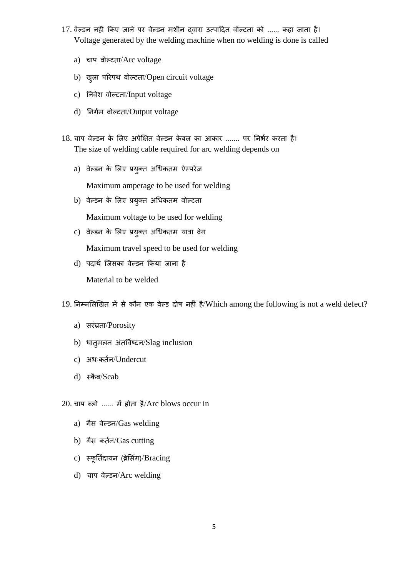- 17. वेल्डन नहीं किए जाने पर वेल्डन मशीन दवारा उत्पादित वोल्टता को ...... कहा जाता है। Voltage generated by the welding machine when no welding is done is called
	- a) चाप वोल्टता/Arc voltage
	- b) ख़ूला परिपथ वोल्टता/Open circuit voltage
	- c) निवेश वोल्टता/Input voltage
	- d) निर्गम वोल्टता/Output voltage
- 18. चाप वेल्डन के लिए अपेक्षित वेल्डन केबल का आकार ....... पर निर्भर करता है। The size of welding cable required for arc welding depends on
	- a) वेल्डन के लिए प्रयुक्त अधिकतम ऐम्परेज

Maximum amperage to be used for welding

b) वेल्डन के लिए प्रयुक्त अधिकतम वोल्टता

Maximum voltage to be used for welding

c) वेल्डन के लिए प्रयुक्त अधिकतम यात्रा वेग

Maximum travel speed to be used for welding

d) पदार्थ जिसका वेल्डन किया जाना है

Material to be welded

19. निम्नलिखित में से कौन एक वेल्ड दोष नहीं है/Which among the following is not a weld defect?

- a) सरंध्रता/Porosity
- b) धात्**मलन अंतर्विष्टन/Slag inclusion**
- c) अधःकर्तन/Undercut
- d) स्कैब/Scab

20. चाप ब्लो ...... में होता है/Arc blows occur in

- a) गैस वेल्डन/Gas welding
- b) गैस कर्तन/Gas cutting
- c) स्फूर्तिदायन (ब्रेसिंग)/Bracing
- d) चाप वेल्डन/Arc welding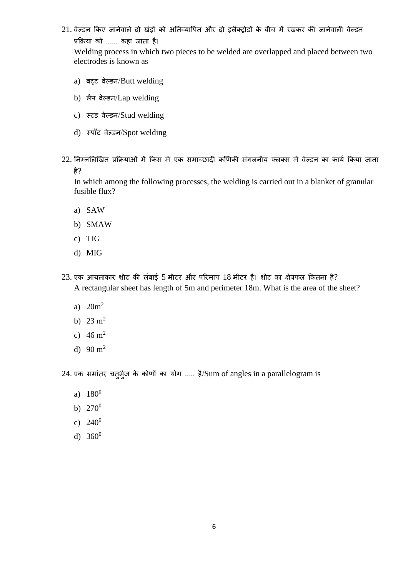21. वेल्डन किए जानेवाले दो खंड़ों को अतिव्यापित और दो इलैक्ट्रोडों के बीच में रखकर की जानेवाली वेल्डन प्रफिया को ...... कहा जाता है।

Welding process in which two pieces to be welded are overlapped and placed between two electrodes is known as

- a) बटट वेल्डन/Butt welding
- b) लैप वेल्डन/Lap welding
- c) स्टड वेल्डन/Stud welding
- d) स्पॉट वेल्डन/Spot welding
- $22$ . निम्नलिखित प्रक्रियाओं में किस में एक समाच्छादी कणिकी संगलनीय फ्लक्स में वेल्डन का कार्य किया जाता है?

In which among the following processes, the welding is carried out in a blanket of granular fusible flux?

- a) SAW
- b) SMAW
- c) TIG
- d) MIG
- $23.$  एक आयताकार शीट की लंबाई 5 मीटर और परिमाप  $18$  मीटर है। शीट का क्षेत्रफल कितना है? A rectangular sheet has length of 5m and perimeter 18m. What is the area of the sheet?
	- a)  $20m^2$
	- b)  $23 \text{ m}^2$
	- c)  $46 \text{ m}^2$
	- d)  $90 \text{ m}^2$

24. एक समांतर चतुर्भूज के कोणों का योग ..... है/Sum of angles in a parallelogram is

- a)  $180^0$
- b)  $270^0$
- c)  $240^0$
- d)  $360^0$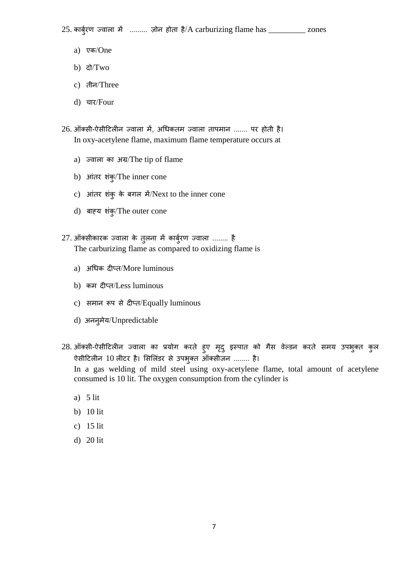$25.$  कार्बुरण ज्वाला में ......... ज़ोन होता है/A carburizing flame has \_\_\_\_\_\_\_\_\_ zones

- a) एक/One
- b) दो/Two
- c) तीन/Three
- d) चार/Four
- 26. ऑक्सी-ऐसीटिलीन ज्वाला में, अधिकतम ज्वाला तापमान ....... पर होती है। In oxy-acetylene flame, maximum flame temperature occurs at
	- a) ज्वाला का अग्र/The tip of flame
	- b) आंतर शंकु/The inner cone
	- c) आंतर शंकु के बगल में/Next to the inner cone
	- d) बाह्य शंकु/The outer cone
- $27.$  ऑक्सीकारक ज्वाला के तुलना में कार्बुरण ज्वाला ........ है The carburizing flame as compared to oxidizing flame is
	- a) अधिक दीप्त/More luminous
	- b) कम दीप्त/Less luminous
	- c) समान रूप से दीप्त/Equally luminous
	- d) अननुमेय/Unpredictable
- 28. ऑक्सी-ऐसीटिलीन ज्वाला का प्रयोग करते हुए मृदु इस्पात को गैस वेल्डन करते समय उपभुक्त कुल ऐसीटिलीन 10 लीटर है। सिलिंडर से उपभुक्त ऑक्सीजन ........ है।

In a gas welding of mild steel using oxy-acetylene flame, total amount of acetylene consumed is 10 lit. The oxygen consumption from the cylinder is

- a) 5 lit
- b) 10 lit
- c) 15 lit
- d) 20 lit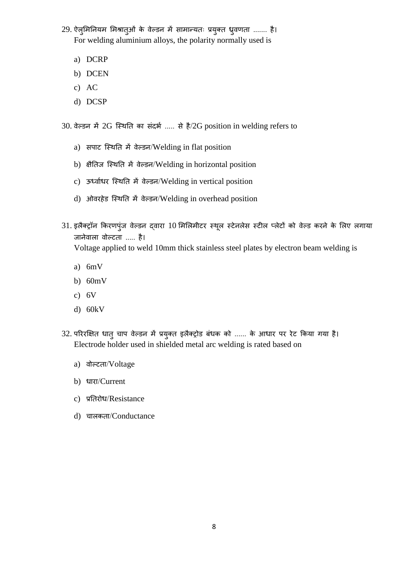29. ऐलुमिनियम मिश्रातुओं के वेल्डन में सामान्यतः प्रयुक्त ध्रुवणता ....... है। For welding aluminium alloys, the polarity normally used is

- a) DCRP
- b) DCEN
- c) AC
- d) DCSP

30. वेल्डन में 2G स्थिति का संदर्भ ..... से है/2G position in welding refers to

- a) सपाट स्थिति में वेल्डन/Welding in flat position
- b) क्षैतिज स्थिति में वेल्डन/Welding in horizontal position
- c) ऊर्ध्वाधर स्थिति में वेल्डन/Welding in vertical position
- d) ओवरहेड स्थिति में वेल्डन/Welding in overhead position
- 31. इलैक्ट्रॉन किरणपुंज वेल्डन द्वारा 10 मिलिमीटर स्थूल स्टेनलेस स्टील प्लेटों को वेल्ड करने के लिए लगाया जानेवाला वोल्टता ..... है। Voltage applied to weld 10mm thick stainless steel plates by electron beam welding is
	- a) 6mV
	- b) 60mV
	- c) 6V
	- d) 60kV
- 32. परिरक्षित धातु चाप वेल्डन में प्रयुक्त इलैक्ट्रोड बंधक को ...... के आधार पर रेट किया गया है। Electrode holder used in shielded metal arc welding is rated based on
	- a) वोल्टता/Voltage
	- b) धारा/Current
	- c) प्रतिरोध/Resistance
	- d) चालकता/Conductance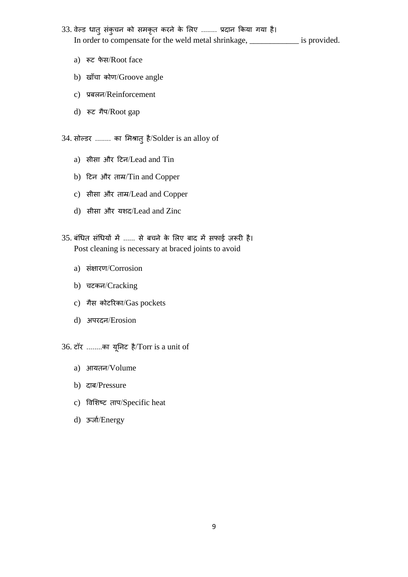- 33. वेल्ड धातु संकुचन को समकृत करने के लिए ........ प्रदान किया गया है। In order to compensate for the weld metal shrinkage, \_\_\_\_\_\_\_\_\_\_\_\_ is provided.
	- a) रूट फेस/Root face
	- b) खाँचा कोण/Groove angle
	- c) प्रबलन/Reinforcement
	- d) रूट गैप/Root gap

34. सोल्डर ........ का भमिातुहै/Solder is an alloy of

- a) सीसा और टटन/Lead and Tin
- b) टटन और ताम्र/Tin and Copper
- c) सीसा और ताम्र/Lead and Copper
- d) सीसा और यशद/Lead and Zinc
- 35. बंधित संधियों में ...... से बचने के भलए बाद में स़िाई ज़रूरी है। Post cleaning is necessary at braced joints to avoid
	- a) संक्षारण/Corrosion
	- b) चटकन/Cracking
	- c) गैस कोटररका/Gas pockets
	- d) अपरदन/Erosion

36. टॉर ........का यूननट है/Torr is a unit of

- a) आयतन/Volume
- b) दाब/Pressure
- c) विभशष्ट ताप/Specific heat
- d) ऊर्जा/Energy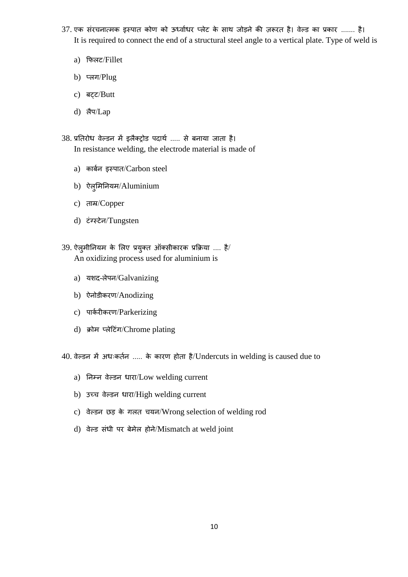- 37. एक संरचनात्मक इस्पात कोण को ऊर्ध्वाधर प्लेट के साथ जोड़ने की ज़रूरत है। वेल्ड का प्रकार ....... है। It is required to connect the end of a structural steel angle to a vertical plate. Type of weld is
	- a) फिलट/Fillet
	- b) प्लग/Plug
	- c) बट्ट/Butt
	- d) लैप/Lap
- 38. प्रतिरोध वेल्डन में इलैक्ट्रोड पदार्थ ..... से बनाया जाता है। In resistance welding, the electrode material is made of
	- a) कार्बन इस्पात/Carbon steel
	- b) ऐलुमिनियम/Aluminium
	- c) ताम्र/Copper
	- d) टंग्सस्टेन/Tungsten
- $39.$  ऐलुमीनियम के लिए प्रयुक्त ऑक्सीकारक प्रक्रिया .... है/ An oxidizing process used for aluminium is
	- a) यशद-लेपन/Galvanizing
	- b) ऐनोडीकरण/Anodizing
	- c) पार्करीकरण/Parkerizing
	- d) क्रोम प्लेटिंग/Chrome plating

40. वेल्डन में अधःकर्तन ..... के कारण होता है/Undercuts in welding is caused due to

- a) निम्न वेल्डन धारा/Low welding current
- b) उच्च वेल्डन धारा/High welding current
- c) िेल्डन छड़ के गलत चयन/Wrong selection of welding rod
- d) वेल्ड संधी पर बेमेल होने/Mismatch at weld joint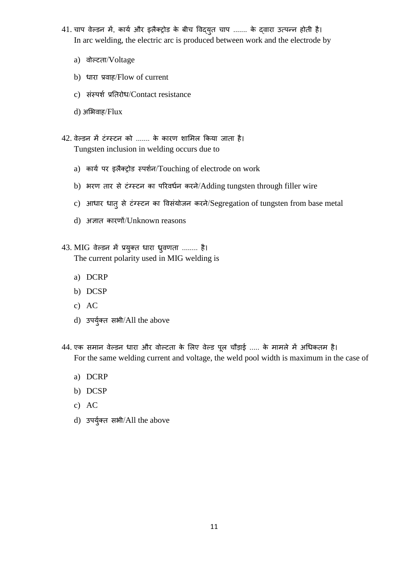- 41. चाप वेल्डन में, कार्य और इलैक्ट्रोड के बीच विद्युत चाप ....... के द्वारा उत्पन्न होती है। In arc welding, the electric arc is produced between work and the electrode by
	- a) वोल्टता/Voltage
	- b) धारा प्रवाह/Flow of current
	- c) संस्पर्श प्रतिरोध/Contact resistance
	- d) अभिवाह/Flux
- 42. िेल्डन में टंग्सस्टन को ....... के कारण शाभमल फकया जाता है। Tungsten inclusion in welding occurs due to
	- a) कार्य पर इलैक्ट्रोड स्पर्शन/Touching of electrode on work
	- b) भरण तार से टंग्स्टन का परिवर्धन करने/Adding tungsten through filler wire
	- c) आधार धातु से टंग्स्टन का विसंयोजन करने/Segregation of tungsten from base metal
	- d) अज्ञात कारणों/Unknown reasons
- 43. MIG वेल्डन में प्रयुक्त धारा ध्रुवणता ........ है। The current polarity used in MIG welding is
	- a) DCRP
	- b) DCSP
	- c) AC
	- d) उपर्युक्त सभी/All the above
- 44. एक समान वेल्डन धारा और वोल्टता के लिए वेल्ड पूल चौड़ाई ..... के मामले में अधिकतम है। For the same welding current and voltage, the weld pool width is maximum in the case of
	- a) DCRP
	- b) DCSP
	- c) AC
	- d) उपर्युक्त सभी/All the above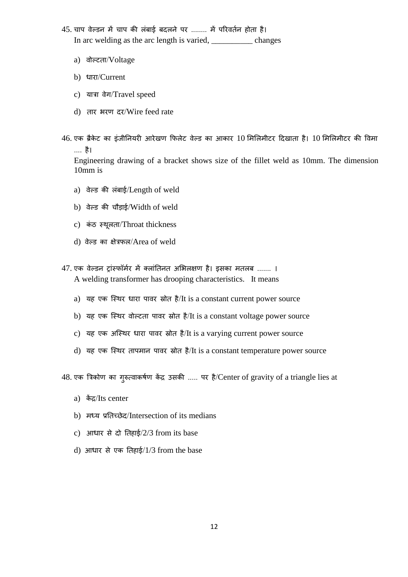- 45. चाप वेल्डन में चाप की लंबाई बदलने पर ........ में परिवर्तन होता है। In arc welding as the arc length is varied, \_\_\_\_\_\_\_\_\_\_ changes
	- a) वोल्टता/Voltage
	- b) धारा/Current
	- c) यात्रा वेग/Travel speed
	- d) तार भरण दर/Wire feed rate
- $46$ . एक ब्रैकेट का इंजीनियरी आरेखण फिलेट वेल्ड का आकार  $10$  मिलिमीटर दिखाता है।  $10$  मिलिमीटर की विमा .... है।

Engineering drawing of a bracket shows size of the fillet weld as 10mm. The dimension 10mm is

- a) वेल्ड की लंबाई/Length of weld
- b) वेल्ड की चौड़ाई/Width of weld
- c) कंठ स्थूलता/Throat thickness
- d) वेल्ड का क्षेत्रफल/Area of weld
- 47. एक वेल्डन ट्रांस्फॉर्मर में क्लांतिनत अभिलक्षण है। इसका मतलब ....... । A welding transformer has drooping characteristics. It means
	- a) यह एक स्थिर धारा पावर स्रोत है/It is a constant current power source
	- b) यह एक स्थिर वोल्टता पावर स्रोत है/It is a constant voltage power source
	- c) यह एक अस्थिर धारा पावर स्रोत है/It is a varying current power source
	- d) यह एक स्थिर तापमान पावर स्रोत है/It is a constant temperature power source

 $48.$  एक त्रिकोण का गुरुत्वाकर्षण केंद्र उसकी ..... पर है/Center of gravity of a triangle lies at

- a) केंद्र/Its center
- b) मर्धय प्रनतच्छेद/Intersection of its medians
- c) आधार से दो तिहाई/ $2/3$  from its base
- d) आधार से एक तिहाई/ $1/3$  from the base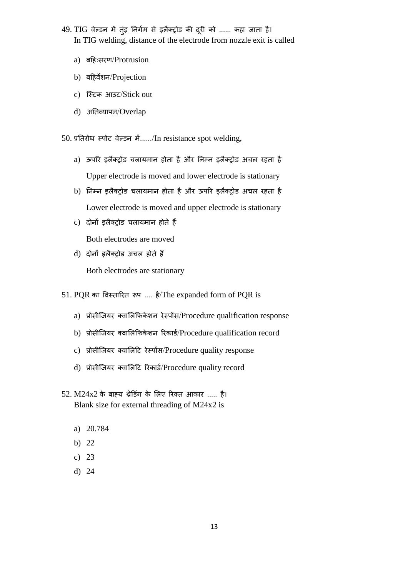- 49. TIG वेल्डन में तुंड़ निर्गम से इलैक्ट्रोड की दूरी को ...... कहा जाता है। In TIG welding, distance of the electrode from nozzle exit is called
	- a) बटहःसरण/Protrusion
	- b) बटहिेशन/Projection
	- c) जस्टक आउट/Stick out
	- d) अनतव्यापन/Overlap

 $50.$  प्रतिरोध स्पोट वेल्डन में....../In resistance spot welding,

- a) ऊपरर इलैक्रोड चलायमान होता हैऔर ननम्न इलैक्रोड अचल रहता है Upper electrode is moved and lower electrode is stationary
- b) ननम्न इलैक्रोड चलायमान होता हैऔर ऊपरर इलैक्रोड अचल रहता है Lower electrode is moved and upper electrode is stationary
- c) दोनों इलैक्रोड चलायमान होते हैं Both electrodes are moved
- d) दोनों इलैक्रोड अचल होते हैं Both electrodes are stationary
- 51. PQR का विस्ताररत रूप .... है/The expanded form of PQR is
	- a) प्रोसीजियर क्वालिफिकेशन रेस्पोंस/Procedure qualification response
	- b) प्रोसीजियर क्वालिफिकेशन रिकार्ड/Procedure qualification record
	- c) प्रोसीजियर क्वालिटि रेस्पोंस/Procedure quality response
	- d) प्रोसीजियर क्वालिटि रिकार्ड/Procedure quality record
- $52. M24x2$  के बाह्य थ्रेडिंग के लिए रिक्त आकार ..... है। Blank size for external threading of M24x2 is
	- a) 20.784
	- b) 22
	- c) 23
	- d) 24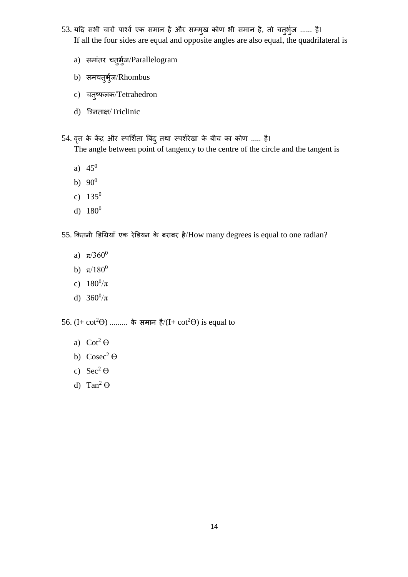- 53. यदि सभी चारों पार्श्व एक समान है और सम्मुख कोण भी समान है, तो चतुर्भुज ...... है। If all the four sides are equal and opposite angles are also equal, the quadrilateral is
	- a) समांतर चतुर्भुज/Parallelogram
	- b) समचतुर्भुज/Rhombus
	- c) चतुष्फलक/Tetrahedron
	- d) त्रत्रनताक्ष/Triclinic
- 54. वृत्त के केंद्र और स्पर्शिता बिंद् तथा स्पर्शरेखा के बीच का कोण ..... है। The angle between point of tangency to the centre of the circle and the tangent is
	- a)  $45^0$
	- b)  $90^0$
	- c)  $135^0$
	- d)  $180^0$

55. कितनी डिग्रियाँ एक रेडियन के बराबर है/How many degrees is equal to one radian?

- a)  $\pi/360^\circ$
- b)  $\pi/180^0$
- c)  $180^0/\pi$
- d)  $360^0/\pi$

56. (I+ cot<sup>2</sup> $\Theta$ ) ......... के समान है/(I+ cot<sup>2</sup> $\Theta$ ) is equal to

- a)  $\cot^2 \Theta$
- b)  $\text{Cosec}^2 \Theta$
- c)  $\text{Sec}^2 \Theta$
- d) Tan<sup>2</sup> $\Theta$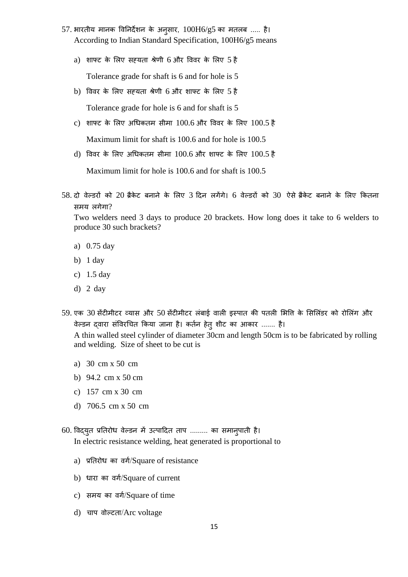- 57. भारतीय मानक विनिर्देशन के अनुसार,  $100H6/g5$  का मतलब ..... है। According to Indian Standard Specification, 100H6/g5 means
	- a) शाफ्ट के लिए सह़यता श्रेणी 6 और विवर के लिए 5 है Tolerance grade for shaft is 6 and for hole is 5
	- b) विवर के लिए सह़यता श्रेणी 6 और शाफ्ट के लिए 5 है

Tolerance grade for hole is 6 and for shaft is 5

c) शाफ्ट के लिए अधिकतम सीमा  $100.6$  और विवर के लिए  $100.5$  है

Maximum limit for shaft is 100.6 and for hole is 100.5

d) विवर के लिए अधिकतम सीमा  $100.6$  और शाफ्ट के लिए  $100.5$  है

Maximum limit for hole is 100.6 and for shaft is 100.5

58. दो वेल्डरों को 20 ब्रैकेट बनाने के लिए 3 दिन लगेंगे। 6 वेल्डरों को 30 ऐसे ब्रैकेट बनाने के लिए कितना समय लगेगा?

Two welders need 3 days to produce 20 brackets. How long does it take to 6 welders to produce 30 such brackets?

- a) 0.75 day
- b) 1 day
- c) 1.5 day
- d) 2 day
- 59. एक 30 सेंटीमीटर व्यास और 50 सेंटीमीटर लंबाई वाली इस्पात की पतली भित्ति के सिलिंडर को रोलिंग और वेल्डन द्वारा संविरचित किया जाना है। कर्तन हेतु शीट का आकार ....... है। A thin walled steel cylinder of diameter 30cm and length 50cm is to be fabricated by rolling

and welding. Size of sheet to be cut is

- a) 30 cm x 50 cm
- b) 94.2 cm x 50 cm
- c) 157 cm x 30 cm
- d) 706.5 cm x 50 cm
- 60. विद्युत प्रतिरोध वेल्डन में उत्पादित ताप ......... का समान्पाती है। In electric resistance welding, heat generated is proportional to
	- a) प्रतिरोध का वर्ग/Square of resistance
	- b) धारा का वर्ग/Square of current
	- c) समय का वर्ग/Square of time
	- d) चाप वोल्टता/Arc voltage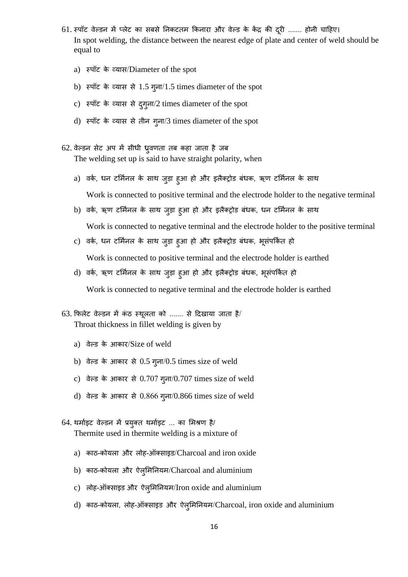- 61. स्पॉट वेल्डन में प्लेट का सबसे निकटतम किनारा और वेल्ड के केंद्र की दूरी ....... होनी चाहिए। In spot welding, the distance between the nearest edge of plate and center of weld should be equal to
	- a) स्पॉट के व्यास/Diameter of the spot
	- b) स्पॉट के व्यास से 1.5 गुना/1.5 times diameter of the spot
	- c) स्पॉट के व्यास से दुगुना/2 times diameter of the spot
	- d) स्पॉट के व्यास से तीन गुना/3 times diameter of the spot
- 62. वेल्डन सेट अप में सीधी ध्रुवणता तब कहा जाता है जब The welding set up is said to have straight polarity, when
	- a) वर्क, धन टर्मिनल के साथ जुड़ा हुआ हो और इलैक्ट्रोड बंधक, ऋण टर्मिनल के साथ Work is connected to positive terminal and the electrode holder to the negative terminal
	- b) वर्क, ऋण टर्मिनल के साथ जुड़ा हुआ हो और इलैक्ट्रोड बंधक, धन टर्मिनल के साथ Work is connected to negative terminal and the electrode holder to the positive terminal
	- c) वर्क, धन टर्मिनल के साथ जुड़ा हुआ हो और इलैक्ट्रोड बंधक, भूसंपकित हो Work is connected to positive terminal and the electrode holder is earthed
	- d) वर्क, ऋण टर्मिनल के साथ जुड़ा हुआ हो और इलैक्ट्रोड बंधक, भूसंपर्कित हो Work is connected to negative terminal and the electrode holder is earthed
- 63. फिलेट वेल्डन में कंठ स्थूलता को ....... से दिखाया जाता है/ Throat thickness in fillet welding is given by
	- a) िेल्ड के आकार/Size of weld
	- b) वेल्ड के आकार से  $0.5$  गुना/ $0.5$  times size of weld
	- c) िेल्ड के आकार से 0.707 गुना/0.707 times size of weld
	- d) वेल्ड के आकार से  $0.866$  गुना/ $0.866$  times size of weld
- 64. थर्माइट वेल्डन में प्रयुक्त थर्माइट ... का मिश्रण है/ Thermite used in thermite welding is a mixture of
	- a) काठ-कोयला और लोह-ऑक्साइड/Charcoal and iron oxide
	- b) काठ-कोयला और ऐलुमिनियम/Charcoal and aluminium
	- c) लोह-ऑक्साइड और ऐलुमिनियम/Iron oxide and aluminium
	- d) काठ-कोयला, लोह-ऑक्साइड और ऐलुमिनियम/Charcoal, iron oxide and aluminium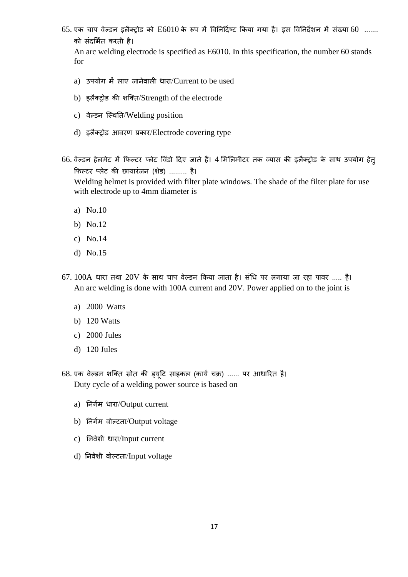$65.$  एक चाप वेल्डन इलैक्ट्रोड को  $E6010$  के रूप में विनिर्दिष्ट किया गया है। इस विनिर्देशन में संख्या  $60$  ....... को संदभियत करती है।

An arc welding electrode is specified as E6010. In this specification, the number 60 stands for

- a) उपयोग में लाए जानेवाली धारा/ $C$ urrent to be used
- b) इलैक्रोड की शजक्त/Strength of the electrode
- c) वेल्डन स्थिति/Welding position
- d) इलैक्रोड आिरण प्रकार/Electrode covering type
- 66. वेल्डन हेलमेट में फिल्टर प्लेट विंडो दिए जाते हैं। 4 मिलिमीटर तक व्यास की इलैक्ट्रोड के साथ उपयोग हेतु फिल्टर प्लेट की छायारंजन (शेड) ......... है। Welding helmet is provided with filter plate windows. The shade of the filter plate for use with electrode up to 4mm diameter is
	- a) No.10
	- b) No.12
	- c) No.14
	- d) No.15
- $67.100A$  धारा तथा  $20V$  के साथ चाप वेल्डन किया जाता है। संधि पर लगाया जा रहा पावर ..... है। An arc welding is done with 100A current and 20V. Power applied on to the joint is
	- a) 2000 Watts
	- b) 120 Watts
	- c) 2000 Jules
	- d) 120 Jules
- 68. एक वेल्डन शक्ति स्रोत की ड्यूटि साइकल (कार्य चक्र) ...... पर आधारित है। Duty cycle of a welding power source is based on
	- a) निर्गम धारा/Output current
	- b) निर्गम वोल्टता/Output voltage
	- c) निवेशी धारा/Input current
	- d) निवेशी वोल्टता/Input voltage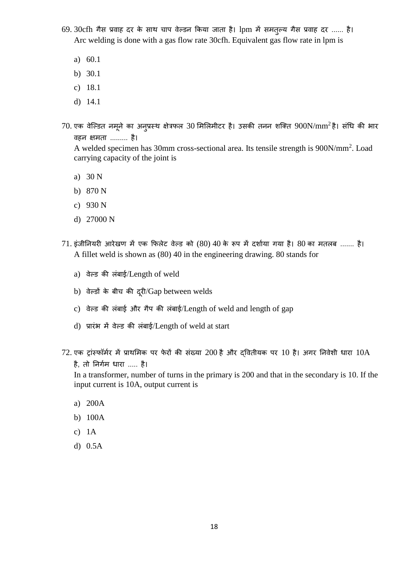- 69. 30cfh गैस प्रवाह दर के साथ चाप वेल्डन किया जाता है। lpm में समतुल्य गैस प्रवाह दर ...... है। Arc welding is done with a gas flow rate 30cfh. Equivalent gas flow rate in lpm is
	- a) 60.1
	- b) 30.1
	- c) 18.1
	- d) 14.1
- $70$ . एक वेल्डित नमूने का अनुप्रस्थ क्षेत्रफल 30 मिलिमीटर है। उसकी तनन शक्ति  $900 \rm N/mm^2$ है। संधि की भार िहन क्षमता ......... है।

A welded specimen has 30mm cross-sectional area. Its tensile strength is 900N/mm<sup>2</sup> . Load carrying capacity of the joint is

- a) 30 N
- b) 870 N
- c) 930 N
- d) 27000 N
- $71.$  इंजीनियरी आरेखण में एक फिलेट वेल्ड को  $(80)$  40 के रूप में दर्शाया गया है।  $80$  का मतलब ....... है। A fillet weld is shown as (80) 40 in the engineering drawing. 80 stands for
	- a) वेल्ड की लंबाई/Length of weld
	- b) वेल्डों के बीच की दूरी/Gap between welds
	- c) वेल्ड की लंबाई और गैप की लंबाई/Length of weld and length of gap
	- d) प्रारंभ में वेल्ड की लंबाई/Length of weld at start
- $72$ . एक ट्रांस्फॉर्मर में प्राथमिक पर फेरों की संख्या  $200$  है और द्वितीयक पर  $10$  है। अगर निवेशी धारा  $10A$ है, तो निर्गम धारा ..... है।

In a transformer, number of turns in the primary is 200 and that in the secondary is 10. If the input current is 10A, output current is

- a) 200A
- b) 100A
- c) 1A
- d) 0.5A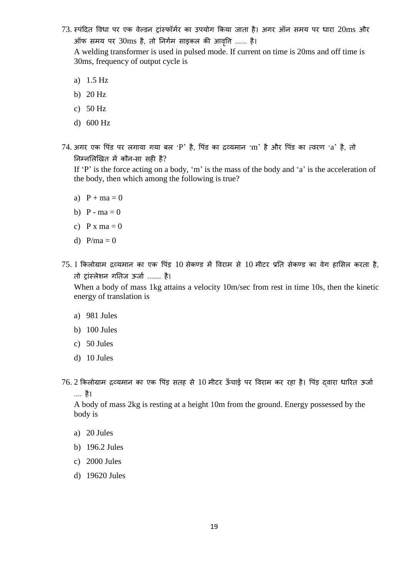$73.$  स्पंदित विधा पर एक वेल्डन ट्रांस्फॉर्मर का उपयोग किया जाता है। अगर ऑन समय पर धारा  $20\mathrm{ms}$  और ऑफ समय पर  $30\text{ms}$  है, तो निर्गम साइकल की आवृति ...... है।

A welding transformer is used in pulsed mode. If current on time is 20ms and off time is 30ms, frequency of output cycle is

- a) 1.5 Hz
- b) 20 Hz
- c) 50 Hz
- d) 600 Hz
- $74.$  अगर एक पिंड पर लगाया गया बल 'P' है, पिंड का द्रव्यमान 'm' है और पिंड का त्वरण 'a' है, तो ननम्नभलखखत में कौन-सा सही है?

If 'P' is the force acting on a body, 'm' is the mass of the body and 'a' is the acceleration of the body, then which among the following is true?

- a)  $P + ma = 0$
- b)  $P ma = 0$
- c)  $P x ma = 0$
- d)  $P/ma = 0$
- $75.1$  किलोग्राम द्रव्यमान का एक पिंड़  $10$  सेकण्ड में विराम से  $10$  मीटर प्रति सेकण्ड का वेग हासिल करता है, तो ट्रांस्लेशन गतिज ऊर्जा ....... है।

When a body of mass 1kg attains a velocity 10m/sec from rest in time 10s, then the kinetic energy of translation is

- a) 981 Jules
- b) 100 Jules
- c) 50 Jules
- d) 10 Jules
- 76. 2 किलोग्राम द्रव्यमान का एक पिंड़ सतह से 10 मीटर ऊँचाई पर विराम कर रहा है। पिंड़ दवारा धारित ऊर्जा .... है।

A body of mass 2kg is resting at a height 10m from the ground. Energy possessed by the body is

- a) 20 Jules
- b) 196.2 Jules
- c) 2000 Jules
- d) 19620 Jules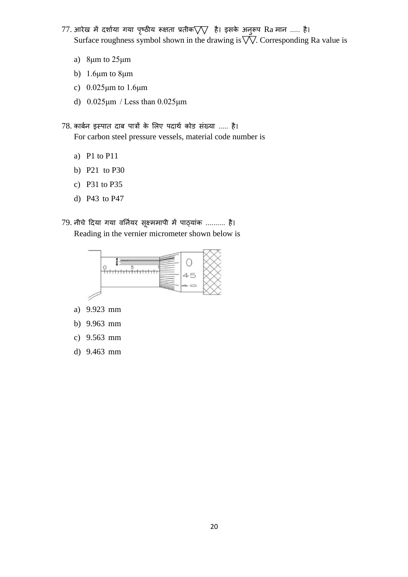- $77.$  आरेख में दर्शाया गया पृष्ठीय रूक्षता प्रतीक $\nabla\nabla$  है। इसके अनुरूप Ra मान ..... है। Surface roughness symbol shown in the drawing is  $\overrightarrow{\nabla}$ . Corresponding Ra value is
	- a) 8μm to 25μm
	- b) 1.6μm to 8μm
	- c) 0.025μm to 1.6μm
	- d) 0.025μm / Less than 0.025μm

78. कार्बन इस्पात दाब पात्रों के लिए पदार्थ कोड संख्या ..... है। For carbon steel pressure vessels, material code number is

- a) P1 to P11
- b) P21 to P30
- c) P31 to P35
- d) P43 to P47
- 79. नीचे दिया गया वर्नियर सूक्ष्ममापी में पाठ्यांक .......... है। Reading in the vernier micrometer shown below is



- a) 9.923 mm
- b) 9.963 mm
- c) 9.563 mm
- d) 9.463 mm